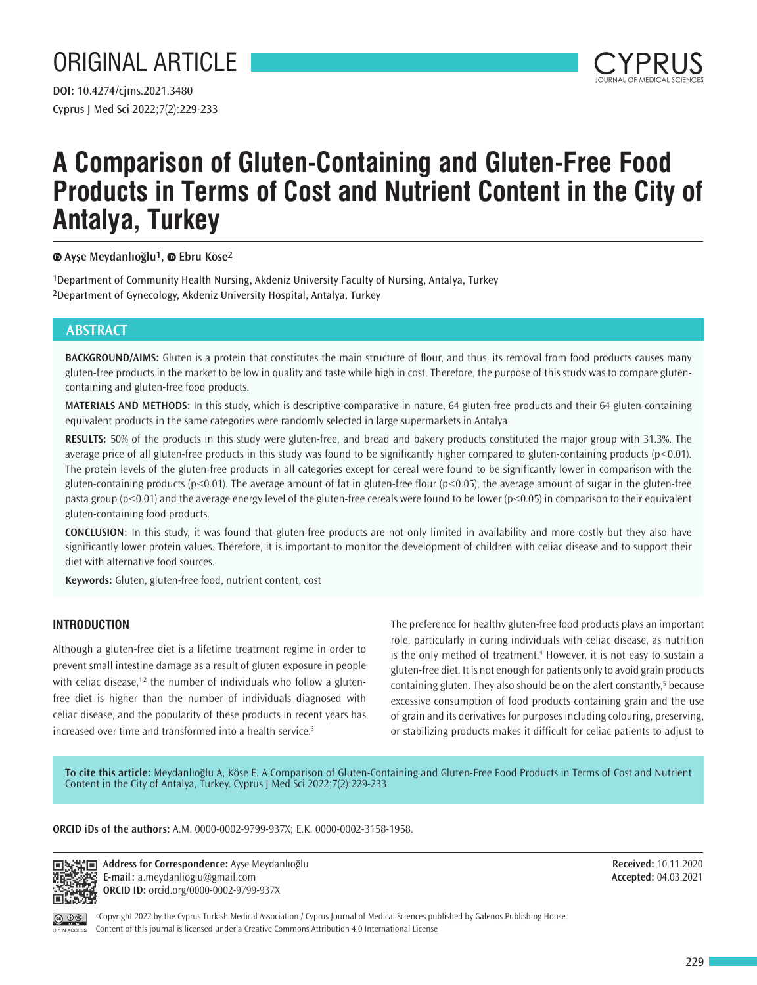# ORIGINAL ARTICLE



## **A Comparison of Gluten-Containing and Gluten-Free Food Products in Terms of Cost and Nutrient Content in the City of Antalya, Turkey**

## **Ayşe Meydanlıoğlu1,Ebru Köse2**

1Department of Community Health Nursing, Akdeniz University Faculty of Nursing, Antalya, Turkey 2Department of Gynecology, Akdeniz University Hospital, Antalya, Turkey

## **ABSTRACT**

**BACKGROUND/AIMS:** Gluten is a protein that constitutes the main structure of flour, and thus, its removal from food products causes many gluten-free products in the market to be low in quality and taste while high in cost. Therefore, the purpose of this study was to compare glutencontaining and gluten-free food products.

**MATERIALS AND METHODS:** In this study, which is descriptive-comparative in nature, 64 gluten-free products and their 64 gluten-containing equivalent products in the same categories were randomly selected in large supermarkets in Antalya.

**RESULTS:** 50% of the products in this study were gluten-free, and bread and bakery products constituted the major group with 31.3%. The average price of all gluten-free products in this study was found to be significantly higher compared to gluten-containing products (p<0.01). The protein levels of the gluten-free products in all categories except for cereal were found to be significantly lower in comparison with the gluten-containing products ( $p < 0.01$ ). The average amount of fat in gluten-free flour ( $p < 0.05$ ), the average amount of sugar in the gluten-free pasta group (p<0.01) and the average energy level of the gluten-free cereals were found to be lower (p<0.05) in comparison to their equivalent gluten-containing food products.

**CONCLUSION:** In this study, it was found that gluten-free products are not only limited in availability and more costly but they also have significantly lower protein values. Therefore, it is important to monitor the development of children with celiac disease and to support their diet with alternative food sources.

**Keywords:** Gluten, gluten-free food, nutrient content, cost

## **INTRODUCTION**

Although a gluten-free diet is a lifetime treatment regime in order to prevent small intestine damage as a result of gluten exposure in people with celiac disease, $1,2$  the number of individuals who follow a glutenfree diet is higher than the number of individuals diagnosed with celiac disease, and the popularity of these products in recent years has increased over time and transformed into a health service.<sup>3</sup>

The preference for healthy gluten-free food products plays an important role, particularly in curing individuals with celiac disease, as nutrition is the only method of treatment.<sup>4</sup> However, it is not easy to sustain a gluten-free diet. It is not enough for patients only to avoid grain products containing gluten. They also should be on the alert constantly,<sup>5</sup> because excessive consumption of food products containing grain and the use of grain and its derivatives for purposes including colouring, preserving, or stabilizing products makes it difficult for celiac patients to adjust to

**To cite this article:** Meydanlıoğlu A, Köse E. A Comparison of Gluten-Containing and Gluten-Free Food Products in Terms of Cost and Nutrient Content in the City of Antalya, Turkey. Cyprus J Med Sci 2022;7(2):229-233

#### **ORCID iDs of the authors:** A.M. 0000-0002-9799-937X; E.K. 0000-0002-3158-1958.



**Address for Correspondence:** Ayşe Meydanlıoğlu **E-mail:** a.meydanlioglu@gmail.com **ORCID ID:** orcid.org/0000-0002-9799-937X

**Received:** 10.11.2020 **Accepted:** 04.03.2021



©Copyright 2022 by the Cyprus Turkish Medical Association / Cyprus Journal of Medical Sciences published by Galenos Publishing House. Content of this journal is licensed under a Creative Commons Attribution 4.0 International License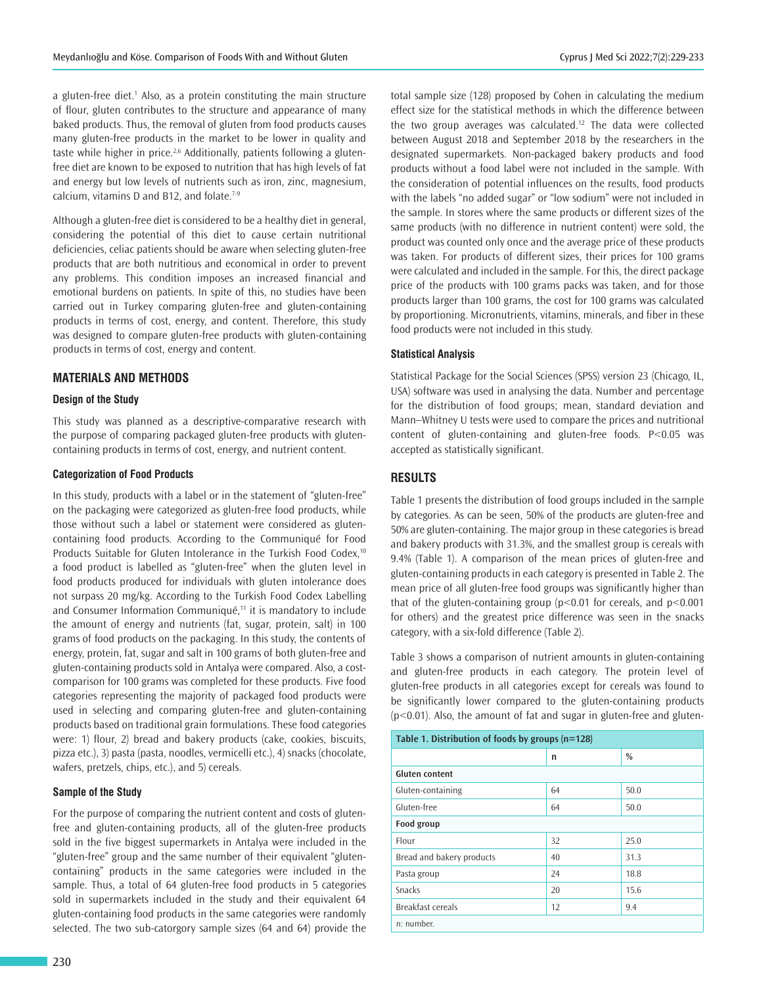a gluten-free diet.<sup>1</sup> Also, as a protein constituting the main structure of flour, gluten contributes to the structure and appearance of many baked products. Thus, the removal of gluten from food products causes many gluten-free products in the market to be lower in quality and taste while higher in price.<sup>2,6</sup> Additionally, patients following a glutenfree diet are known to be exposed to nutrition that has high levels of fat and energy but low levels of nutrients such as iron, zinc, magnesium, calcium, vitamins D and B12, and folate. $7-9$ 

Although a gluten-free diet is considered to be a healthy diet in general, considering the potential of this diet to cause certain nutritional deficiencies, celiac patients should be aware when selecting gluten-free products that are both nutritious and economical in order to prevent any problems. This condition imposes an increased financial and emotional burdens on patients. In spite of this, no studies have been carried out in Turkey comparing gluten-free and gluten-containing products in terms of cost, energy, and content. Therefore, this study was designed to compare gluten-free products with gluten-containing products in terms of cost, energy and content.

## **MATERIALS AND METHODS**

#### **Design of the Study**

This study was planned as a descriptive-comparative research with the purpose of comparing packaged gluten-free products with glutencontaining products in terms of cost, energy, and nutrient content.

#### **Categorization of Food Products**

In this study, products with a label or in the statement of "gluten-free" on the packaging were categorized as gluten-free food products, while those without such a label or statement were considered as glutencontaining food products. According to the Communiqué for Food Products Suitable for Gluten Intolerance in the Turkish Food Codex,<sup>10</sup> a food product is labelled as "gluten-free" when the gluten level in food products produced for individuals with gluten intolerance does not surpass 20 mg/kg. According to the Turkish Food Codex Labelling and Consumer Information Communiqué,<sup>11</sup> it is mandatory to include the amount of energy and nutrients (fat, sugar, protein, salt) in 100 grams of food products on the packaging. In this study, the contents of energy, protein, fat, sugar and salt in 100 grams of both gluten-free and gluten-containing products sold in Antalya were compared. Also, a costcomparison for 100 grams was completed for these products. Five food categories representing the majority of packaged food products were used in selecting and comparing gluten-free and gluten-containing products based on traditional grain formulations. These food categories were: 1) flour, 2) bread and bakery products (cake, cookies, biscuits, pizza etc.), 3) pasta (pasta, noodles, vermicelli etc.), 4) snacks (chocolate, wafers, pretzels, chips, etc.), and 5) cereals.

#### **Sample of the Study**

For the purpose of comparing the nutrient content and costs of glutenfree and gluten-containing products, all of the gluten-free products sold in the five biggest supermarkets in Antalya were included in the "gluten-free" group and the same number of their equivalent "glutencontaining" products in the same categories were included in the sample. Thus, a total of 64 gluten-free food products in 5 categories sold in supermarkets included in the study and their equivalent 64 gluten-containing food products in the same categories were randomly selected. The two sub-catorgory sample sizes (64 and 64) provide the

total sample size (128) proposed by Cohen in calculating the medium effect size for the statistical methods in which the difference between the two group averages was calculated.<sup>12</sup> The data were collected between August 2018 and September 2018 by the researchers in the designated supermarkets. Non-packaged bakery products and food products without a food label were not included in the sample. With the consideration of potential influences on the results, food products with the labels "no added sugar" or "low sodium" were not included in the sample. In stores where the same products or different sizes of the same products (with no difference in nutrient content) were sold, the product was counted only once and the average price of these products was taken. For products of different sizes, their prices for 100 grams were calculated and included in the sample. For this, the direct package price of the products with 100 grams packs was taken, and for those products larger than 100 grams, the cost for 100 grams was calculated by proportioning. Micronutrients, vitamins, minerals, and fiber in these food products were not included in this study.

#### **Statistical Analysis**

Statistical Package for the Social Sciences (SPSS) version 23 (Chicago, IL, USA) software was used in analysing the data. Number and percentage for the distribution of food groups; mean, standard deviation and Mann–Whitney U tests were used to compare the prices and nutritional content of gluten-containing and gluten-free foods. P<0.05 was accepted as statistically significant.

## **RESULTS**

Table 1 presents the distribution of food groups included in the sample by categories. As can be seen, 50% of the products are gluten-free and 50% are gluten-containing. The major group in these categories is bread and bakery products with 31.3%, and the smallest group is cereals with 9.4% (Table 1). A comparison of the mean prices of gluten-free and gluten-containing products in each category is presented in Table 2. The mean price of all gluten-free food groups was significantly higher than that of the gluten-containing group (p<0.01 for cereals, and p<0.001 for others) and the greatest price difference was seen in the snacks category, with a six-fold difference (Table 2).

Table 3 shows a comparison of nutrient amounts in gluten-containing and gluten-free products in each category. The protein level of gluten-free products in all categories except for cereals was found to be significantly lower compared to the gluten-containing products  $(p<0.01)$ . Also, the amount of fat and sugar in gluten-free and gluten-

| Table 1. Distribution of foods by groups (n=128) |    |               |  |  |  |  |
|--------------------------------------------------|----|---------------|--|--|--|--|
|                                                  | n  | $\frac{0}{0}$ |  |  |  |  |
| <b>Gluten content</b>                            |    |               |  |  |  |  |
| Gluten-containing                                | 64 | 50.0          |  |  |  |  |
| Gluten-free                                      | 64 | 50.0          |  |  |  |  |
| Food group                                       |    |               |  |  |  |  |
| Flour                                            | 32 | 25.0          |  |  |  |  |
| Bread and bakery products                        | 40 | 31.3          |  |  |  |  |
| Pasta group                                      | 24 | 18.8          |  |  |  |  |
| Snacks                                           | 20 | 15.6          |  |  |  |  |
| <b>Breakfast cereals</b>                         | 12 | 9.4           |  |  |  |  |
| n: number.                                       |    |               |  |  |  |  |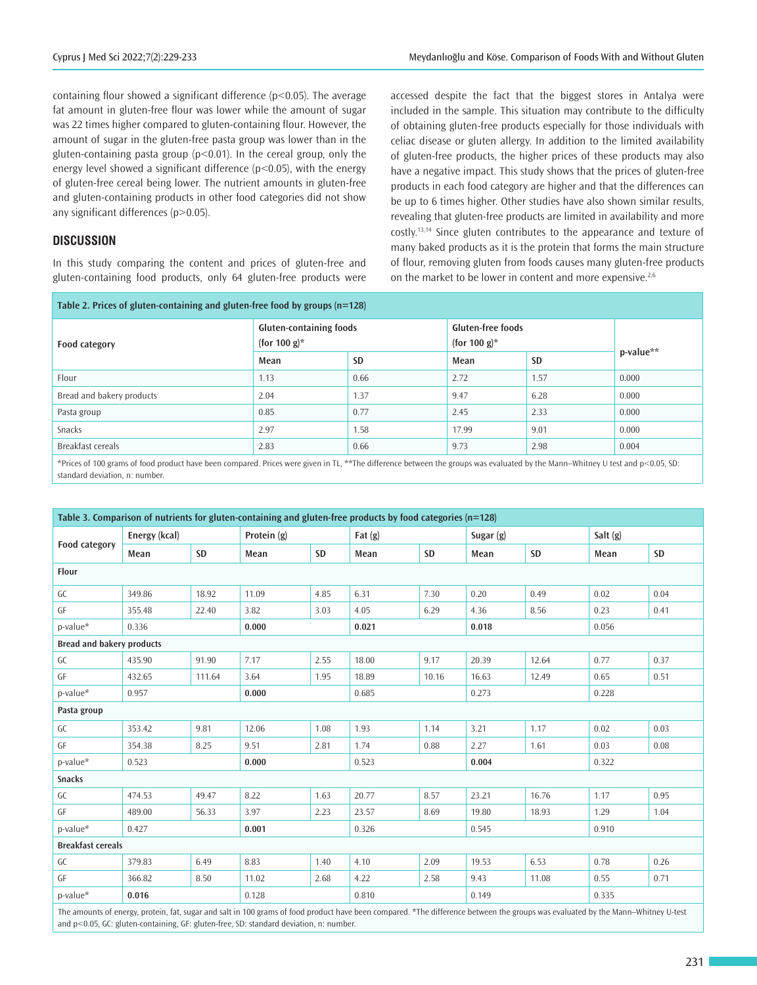containing flour showed a significant difference  $(p<0.05)$ . The average fat amount in gluten-free flour was lower while the amount of sugar was 22 times higher compared to gluten-containing flour. However, the amount of sugar in the gluten-free pasta group was lower than in the gluten-containing pasta group ( $p$ <0.01). In the cereal group, only the energy level showed a significant difference ( $p$ <0.05), with the energy of gluten-free cereal being lower. The nutrient amounts in gluten-free and gluten-containing products in other food categories did not show any significant differences (p>0.05).

#### **DISCUSSION**

In this study comparing the content and prices of gluten-free and gluten-containing food products, only 64 gluten-free products were accessed despite the fact that the biggest stores in Antalya were included in the sample. This situation may contribute to the difficulty of obtaining gluten-free products especially for those individuals with celiac disease or gluten allergy. In addition to the limited availability of gluten-free products, the higher prices of these products may also have a negative impact. This study shows that the prices of gluten-free products in each food category are higher and that the differences can be up to 6 times higher. Other studies have also shown similar results, revealing that gluten-free products are limited in availability and more costly.13,14 Since gluten contributes to the appearance and texture of many baked products as it is the protein that forms the main structure of flour, removing gluten from foods causes many gluten-free products on the market to be lower in content and more expensive.<sup>2,6</sup>

| Table 2. Prices of gluten-containing and gluten-free food by groups $(n=128)$ |                                                |           |                                             |           |           |  |  |
|-------------------------------------------------------------------------------|------------------------------------------------|-----------|---------------------------------------------|-----------|-----------|--|--|
| Food category                                                                 | <b>Gluten-containing foods</b><br>(for 100 g)* |           | <b>Gluten-free foods</b><br>(for 100 g) $*$ |           | p-value** |  |  |
|                                                                               | Mean                                           | <b>SD</b> | Mean                                        | <b>SD</b> |           |  |  |
| Flour                                                                         | 1.13                                           | 0.66      | 2.72                                        | 1.57      | 0.000     |  |  |
| Bread and bakery products                                                     | 2.04                                           | 1.37      | 9.47                                        | 6.28      | 0.000     |  |  |
| Pasta group                                                                   | 0.85                                           | 0.77      | 2.45                                        | 2.33      | 0.000     |  |  |
| Snacks                                                                        | 2.97                                           | 1.58      | 17.99                                       | 9.01      | 0.000     |  |  |
| Breakfast cereals                                                             | 2.83                                           | 0.66      | 9.73                                        | 2.98      | 0.004     |  |  |

\*Prices of 100 grams of food product have been compared. Prices were given in TL, \*\*The difference between the groups was evaluated by the Mann–Whitney U test and p<0.05, SD: standard deviation, n: number.

| Table 3. Comparison of nutrients for gluten-containing and gluten-free products by food categories (n=128) |                |        |                |       |           |           |           |       |          |      |
|------------------------------------------------------------------------------------------------------------|----------------|--------|----------------|-------|-----------|-----------|-----------|-------|----------|------|
| Food category                                                                                              | Energy (kcal)  |        | Protein (g)    |       | Fat $(g)$ |           | Sugar (g) |       | Salt (g) |      |
|                                                                                                            | Mean           | SD     | Mean           | SD    | Mean      | <b>SD</b> | Mean      | SD    | Mean     | SD   |
| Flour                                                                                                      |                |        |                |       |           |           |           |       |          |      |
| GC                                                                                                         | 349.86         | 18.92  | 11.09          | 4.85  | 6.31      | 7.30      | 0.20      | 0.49  | 0.02     | 0.04 |
| GF                                                                                                         | 355.48         | 22.40  | 3.82           | 3.03  | 4.05      | 6.29      | 4.36      | 8.56  | 0.23     | 0.41 |
| p-value*                                                                                                   | 0.336          |        | 0.000          |       | 0.021     |           | 0.018     |       | 0.056    |      |
| <b>Bread and bakery products</b>                                                                           |                |        |                |       |           |           |           |       |          |      |
| GC                                                                                                         | 435.90         | 91.90  | 7.17           | 2.55  | 18.00     | 9.17      | 20.39     | 12.64 | 0.77     | 0.37 |
| GF                                                                                                         | 432.65         | 111.64 | 3.64           | 1.95  | 18.89     | 10.16     | 16.63     | 12.49 | 0.65     | 0.51 |
| p-value*                                                                                                   | 0.957          |        | 0.685<br>0.000 |       |           | 0.273     |           |       | 0.228    |      |
| Pasta group                                                                                                |                |        |                |       |           |           |           |       |          |      |
| GC                                                                                                         | 353.42         | 9.81   | 12.06          | 1.08  | 1.93      | 1.14      | 3.21      | 1.17  | 0.02     | 0.03 |
| GF                                                                                                         | 354.38         | 8.25   | 9.51           | 2.81  | 1.74      | 0.88      | 2.27      | 1.61  | 0.03     | 0.08 |
| p-value*                                                                                                   | 0.523          |        | 0.000          |       | 0.523     |           | 0.004     |       | 0.322    |      |
| <b>Snacks</b>                                                                                              |                |        |                |       |           |           |           |       |          |      |
| GC                                                                                                         | 474.53         | 49.47  | 8.22           | 1.63  | 20.77     | 8.57      | 23.21     | 16.76 | 1.17     | 0.95 |
| GF                                                                                                         | 489.00         | 56.33  | 3.97           | 2.23  | 23.57     | 8.69      | 19.80     | 18.93 | 1.29     | 1.04 |
| p-value*                                                                                                   | 0.427<br>0.001 |        |                | 0.326 |           | 0.545     |           | 0.910 |          |      |
| <b>Breakfast cereals</b>                                                                                   |                |        |                |       |           |           |           |       |          |      |
| GC                                                                                                         | 379.83         | 6.49   | 8.83           | 1.40  | 4.10      | 2.09      | 19.53     | 6.53  | 0.78     | 0.26 |
| GF                                                                                                         | 366.82         | 8.50   | 11.02          | 2.68  | 4.22      | 2.58      | 9.43      | 11.08 | 0.55     | 0.71 |
| p-value*                                                                                                   | 0.016          |        | 0.128          |       | 0.810     |           | 0.149     |       | 0.335    |      |

The amounts of energy, protein, fat, sugar and salt in 100 grams of food product have been compared. \*The difference between the groups was evaluated by the Mann–Whitney U-test and p<0.05, GC: gluten-containing, GF: gluten-free, SD: standard deviation, n: number.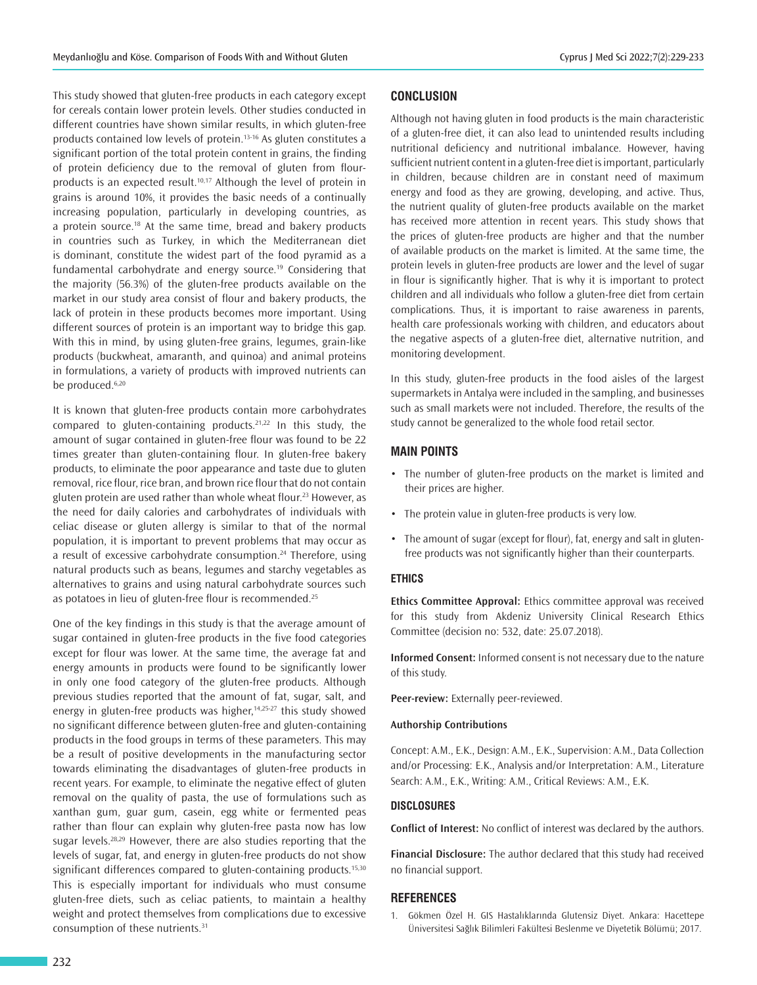This study showed that gluten-free products in each category except for cereals contain lower protein levels. Other studies conducted in different countries have shown similar results, in which gluten-free products contained low levels of protein.13-16 As gluten constitutes a significant portion of the total protein content in grains, the finding of protein deficiency due to the removal of gluten from flourproducts is an expected result.<sup>10,17</sup> Although the level of protein in grains is around 10%, it provides the basic needs of a continually increasing population, particularly in developing countries, as a protein source.<sup>18</sup> At the same time, bread and bakery products in countries such as Turkey, in which the Mediterranean diet is dominant, constitute the widest part of the food pyramid as a fundamental carbohydrate and energy source.<sup>19</sup> Considering that the majority (56.3%) of the gluten-free products available on the market in our study area consist of flour and bakery products, the lack of protein in these products becomes more important. Using different sources of protein is an important way to bridge this gap. With this in mind, by using gluten-free grains, legumes, grain-like products (buckwheat, amaranth, and quinoa) and animal proteins in formulations, a variety of products with improved nutrients can be produced.<sup>6,20</sup>

It is known that gluten-free products contain more carbohydrates compared to gluten-containing products.<sup>21,22</sup> In this study, the amount of sugar contained in gluten-free flour was found to be 22 times greater than gluten-containing flour. In gluten-free bakery products, to eliminate the poor appearance and taste due to gluten removal, rice flour, rice bran, and brown rice flour that do not contain gluten protein are used rather than whole wheat flour.<sup>23</sup> However, as the need for daily calories and carbohydrates of individuals with celiac disease or gluten allergy is similar to that of the normal population, it is important to prevent problems that may occur as a result of excessive carbohydrate consumption.<sup>24</sup> Therefore, using natural products such as beans, legumes and starchy vegetables as alternatives to grains and using natural carbohydrate sources such as potatoes in lieu of gluten-free flour is recommended.<sup>25</sup>

One of the key findings in this study is that the average amount of sugar contained in gluten-free products in the five food categories except for flour was lower. At the same time, the average fat and energy amounts in products were found to be significantly lower in only one food category of the gluten-free products. Although previous studies reported that the amount of fat, sugar, salt, and energy in gluten-free products was higher,<sup>14,25-27</sup> this study showed no significant difference between gluten-free and gluten-containing products in the food groups in terms of these parameters. This may be a result of positive developments in the manufacturing sector towards eliminating the disadvantages of gluten-free products in recent years. For example, to eliminate the negative effect of gluten removal on the quality of pasta, the use of formulations such as xanthan gum, guar gum, casein, egg white or fermented peas rather than flour can explain why gluten-free pasta now has low sugar levels.<sup>28,29</sup> However, there are also studies reporting that the levels of sugar, fat, and energy in gluten-free products do not show significant differences compared to gluten-containing products.<sup>15,30</sup> This is especially important for individuals who must consume gluten-free diets, such as celiac patients, to maintain a healthy weight and protect themselves from complications due to excessive consumption of these nutrients.<sup>31</sup>

## **CONCLUSION**

Although not having gluten in food products is the main characteristic of a gluten-free diet, it can also lead to unintended results including nutritional deficiency and nutritional imbalance. However, having sufficient nutrient content in a gluten-free diet is important, particularly in children, because children are in constant need of maximum energy and food as they are growing, developing, and active. Thus, the nutrient quality of gluten-free products available on the market has received more attention in recent years. This study shows that the prices of gluten-free products are higher and that the number of available products on the market is limited. At the same time, the protein levels in gluten-free products are lower and the level of sugar in flour is significantly higher. That is why it is important to protect children and all individuals who follow a gluten-free diet from certain complications. Thus, it is important to raise awareness in parents, health care professionals working with children, and educators about the negative aspects of a gluten-free diet, alternative nutrition, and monitoring development.

In this study, gluten-free products in the food aisles of the largest supermarkets in Antalya were included in the sampling, and businesses such as small markets were not included. Therefore, the results of the study cannot be generalized to the whole food retail sector.

#### **MAIN POINTS**

- The number of gluten-free products on the market is limited and their prices are higher.
- The protein value in gluten-free products is very low.
- The amount of sugar (except for flour), fat, energy and salt in glutenfree products was not significantly higher than their counterparts.

#### **ETHICS**

**Ethics Committee Approval:** Ethics committee approval was received for this study from Akdeniz University Clinical Research Ethics Committee (decision no: 532, date: 25.07.2018).

**Informed Consent:** Informed consent is not necessary due to the nature of this study.

**Peer-review:** Externally peer-reviewed.

#### **Authorship Contributions**

Concept: A.M., E.K., Design: A.M., E.K., Supervision: A.M., Data Collection and/or Processing: E.K., Analysis and/or Interpretation: A.M., Literature Search: A.M., E.K., Writing: A.M., Critical Reviews: A.M., E.K.

#### **DISCLOSURES**

**Conflict of Interest:** No conflict of interest was declared by the authors.

**Financial Disclosure:** The author declared that this study had received no financial support.

#### **REFERENCES**

1. Gökmen Özel H. GIS Hastalıklarında Glutensiz Diyet. Ankara: Hacettepe Üniversitesi Sağlık Bilimleri Fakültesi Beslenme ve Diyetetik Bölümü; 2017.